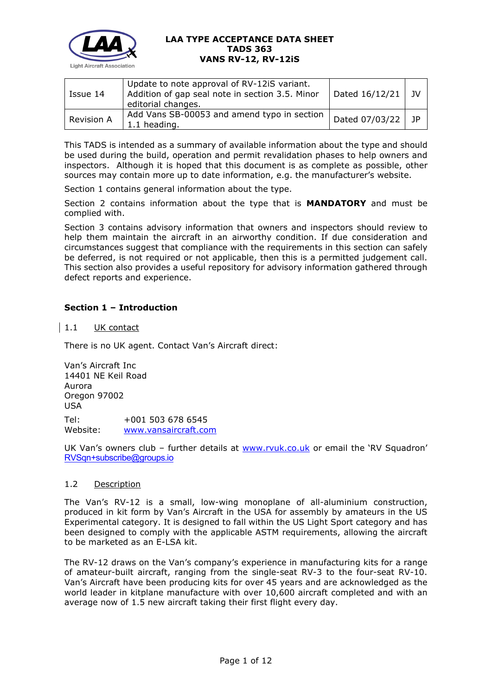

| Issue 14          | Update to note approval of RV-12iS variant.<br>Addition of gap seal note in section 3.5. Minor<br>editorial changes. | Dated 16/12/21 | - 1V |
|-------------------|----------------------------------------------------------------------------------------------------------------------|----------------|------|
| <b>Revision A</b> | Add Vans SB-00053 and amend typo in section<br>1.1 heading.                                                          | Dated 07/03/22 | - 1P |

This TADS is intended as a summary of available information about the type and should be used during the build, operation and permit revalidation phases to help owners and inspectors. Although it is hoped that this document is as complete as possible, other sources may contain more up to date information, e.g. the manufacturer's website.

Section 1 contains general information about the type.

Section 2 contains information about the type that is **MANDATORY** and must be complied with.

Section 3 contains advisory information that owners and inspectors should review to help them maintain the aircraft in an airworthy condition. If due consideration and circumstances suggest that compliance with the requirements in this section can safely be deferred, is not required or not applicable, then this is a permitted judgement call. This section also provides a useful repository for advisory information gathered through defect reports and experience.

# **Section 1 – Introduction**

### 1.1 UK contact

There is no UK agent. Contact Van's Aircraft direct:

Van's Aircraft Inc 14401 NE Keil Road Aurora Oregon 97002 USA Tel: +001 503 678 6545 Website: [www.vansaircraft.com](http://www.vansaircraft.com/)

UK Van's owners club – further details at [www.rvuk.co.uk](http://www.rvuk.co.uk/) or email the 'RV Squadron' [RVSqn+subscribe@groups.io](mailto:RVSqn+subscribe@groups.io)

#### 1.2 Description

The Van's RV-12 is a small, low-wing monoplane of all-aluminium construction, produced in kit form by Van's Aircraft in the USA for assembly by amateurs in the US Experimental category. It is designed to fall within the US Light Sport category and has been designed to comply with the applicable ASTM requirements, allowing the aircraft to be marketed as an E-LSA kit.

The RV-12 draws on the Van's company's experience in manufacturing kits for a range of amateur-built aircraft, ranging from the single-seat RV-3 to the four-seat RV-10. Van's Aircraft have been producing kits for over 45 years and are acknowledged as the world leader in kitplane manufacture with over 10,600 aircraft completed and with an average now of 1.5 new aircraft taking their first flight every day.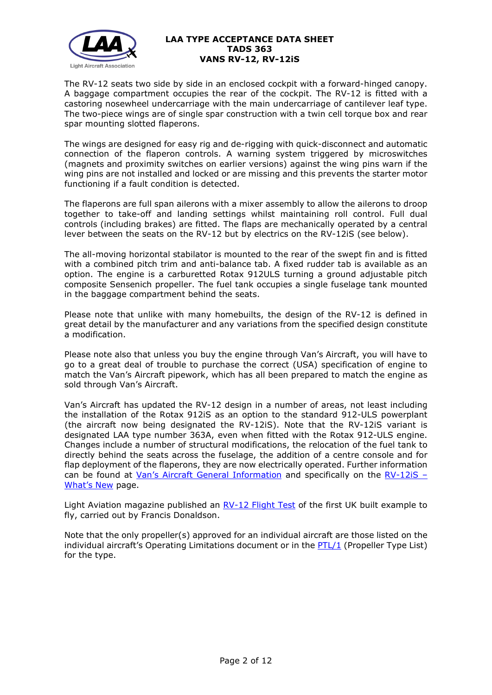

The RV-12 seats two side by side in an enclosed cockpit with a forward-hinged canopy. A baggage compartment occupies the rear of the cockpit. The RV-12 is fitted with a castoring nosewheel undercarriage with the main undercarriage of cantilever leaf type. The two-piece wings are of single spar construction with a twin cell torque box and rear spar mounting slotted flaperons.

The wings are designed for easy rig and de-rigging with quick-disconnect and automatic connection of the flaperon controls. A warning system triggered by microswitches (magnets and proximity switches on earlier versions) against the wing pins warn if the wing pins are not installed and locked or are missing and this prevents the starter motor functioning if a fault condition is detected.

The flaperons are full span ailerons with a mixer assembly to allow the ailerons to droop together to take-off and landing settings whilst maintaining roll control. Full dual controls (including brakes) are fitted. The flaps are mechanically operated by a central lever between the seats on the RV-12 but by electrics on the RV-12iS (see below).

The all-moving horizontal stabilator is mounted to the rear of the swept fin and is fitted with a combined pitch trim and anti-balance tab. A fixed rudder tab is available as an option. The engine is a carburetted Rotax 912ULS turning a ground adjustable pitch composite Sensenich propeller. The fuel tank occupies a single fuselage tank mounted in the baggage compartment behind the seats.

Please note that unlike with many homebuilts, the design of the RV-12 is defined in great detail by the manufacturer and any variations from the specified design constitute a modification.

Please note also that unless you buy the engine through Van's Aircraft, you will have to go to a great deal of trouble to purchase the correct (USA) specification of engine to match the Van's Aircraft pipework, which has all been prepared to match the engine as sold through Van's Aircraft.

Van's Aircraft has updated the RV-12 design in a number of areas, not least including the installation of the Rotax 912iS as an option to the standard 912-ULS powerplant (the aircraft now being designated the RV-12iS). Note that the RV-12iS variant is designated LAA type number 363A, even when fitted with the Rotax 912-ULS engine. Changes include a number of structural modifications, the relocation of the fuel tank to directly behind the seats across the fuselage, the addition of a centre console and for flap deployment of the flaperons, they are now electrically operated. Further information can be found at [Van's Aircraft General Information](https://www.vansaircraft.com/public/rv12iS.htm) and specifically on the [RV-12iS –](https://www.vansaircraft.com/public/rv12iS_whats-new.htm) [What's New](https://www.vansaircraft.com/public/rv12iS_whats-new.htm) page.

Light Aviation magazine published an  $RV-12$  Flight Test of the first UK built example to fly, carried out by Francis Donaldson.

Note that the only propeller(s) approved for an individual aircraft are those listed on the individual aircraft's Operating Limitations document or in the  $PTL/1$  (Propeller Type List) for the type.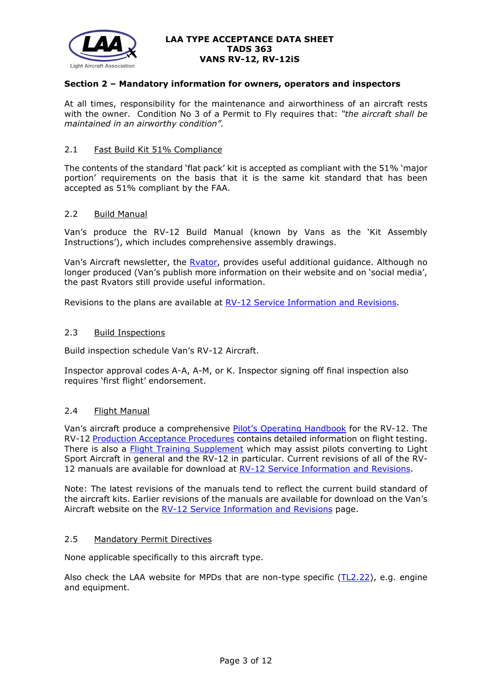

## **Section 2 – Mandatory information for owners, operators and inspectors**

At all times, responsibility for the maintenance and airworthiness of an aircraft rests with the owner. Condition No 3 of a Permit to Fly requires that: *"the aircraft shall be maintained in an airworthy condition".*

# 2.1 Fast Build Kit 51% Compliance

The contents of the standard 'flat pack' kit is accepted as compliant with the 51% 'major portion' requirements on the basis that it is the same kit standard that has been accepted as 51% compliant by the FAA.

### 2.2 Build Manual

Van's produce the RV-12 Build Manual (known by Vans as the 'Kit Assembly Instructions'), which includes comprehensive assembly drawings.

Van's Aircraft newsletter, the Ryator, provides useful additional guidance. Although no longer produced (Van's publish more information on their website and on 'social media', the past Rvators still provide useful information.

Revisions to the plans are available at [RV-12 Service Information and Revisions.](https://www.vansaircraft.com/service-information-and-revisions/?aircraft=rv-12&doctype=all)

#### 2.3 Build Inspections

Build inspection schedule Van's RV-12 Aircraft.

Inspector approval codes A-A, A-M, or K. Inspector signing off final inspection also requires 'first flight' endorsement.

### 2.4 Flight Manual

Van's aircraft produce a comprehensive [Pilot's Operating Handbook](http://www.lightaircraftassociation.co.uk/engineering/TADs/363/RV-12-POH%2028.03.19.pdf) for the RV-12. The RV-12 [Production Acceptance Procedures](http://www.lightaircraftassociation.co.uk/engineering/TADs/363/RV-12-PAP%2018.12.18.pdf) contains detailed information on flight testing. There is also a [Flight Training Supplement](http://www.lightaircraftassociation.co.uk/engineering/TADs/363/RV-12-FTS%2018.12.18.pdf) which may assist pilots converting to Light Sport Aircraft in general and the RV-12 in particular. Current revisions of all of the RV-12 manuals are available for download at [RV-12 Service Information and Revisions.](https://www.vansaircraft.com/service-information-and-revisions/?aircraft=rv-12&doctype=all)

Note: The latest revisions of the manuals tend to reflect the current build standard of the aircraft kits. Earlier revisions of the manuals are available for download on the Van's Aircraft website on the [RV-12 Service Information and Revisions](https://www.vansaircraft.com/service-information-and-revisions/?aircraft=rv-12&doctype=all) page.

## 2.5 Mandatory Permit Directives

None applicable specifically to this aircraft type.

Also check the LAA website for MPDs that are non-type specific  $(TL2.22)$ , e.g. engine and equipment.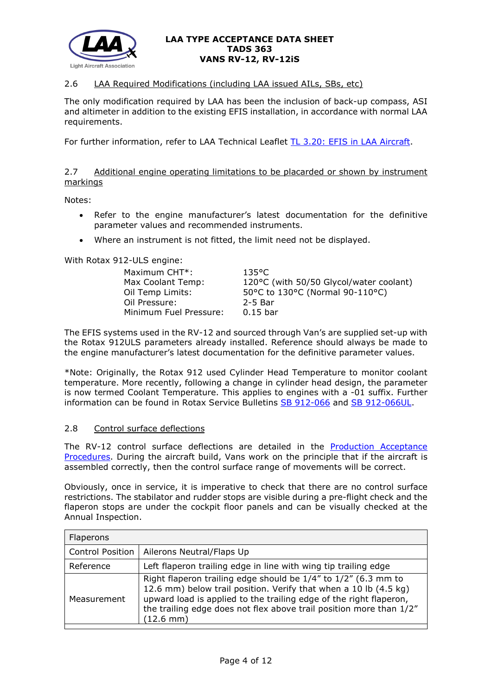

# 2.6 LAA Required Modifications (including LAA issued AILs, SBs, etc)

The only modification required by LAA has been the inclusion of back-up compass, ASI and altimeter in addition to the existing EFIS installation, in accordance with normal LAA requirements.

For further information, refer to LAA Technical Leaflet [TL 3.20: EFIS in LAA Aircraft.](http://www.lightaircraftassociation.co.uk/engineering/TechnicalLeaflets/Mods%20and%20Repairs/TL%203.20%20EFIS%20in%20LAA%20Aircraft.pdf)

### 2.7 Additional engine operating limitations to be placarded or shown by instrument markings

Notes:

- Refer to the engine manufacturer's latest documentation for the definitive parameter values and recommended instruments.
- Where an instrument is not fitted, the limit need not be displayed.

With Rotax 912-ULS engine:

| Maximum CHT <sup>*</sup> :<br>Max Coolant Temp:<br>Oil Temp Limits:<br>Oil Pressure: | $135^{\circ}$ C<br>120°C (with 50/50 Glycol/water coolant)<br>50°C to 130°C (Normal 90-110°C)<br>$2-5$ Bar |
|--------------------------------------------------------------------------------------|------------------------------------------------------------------------------------------------------------|
|                                                                                      |                                                                                                            |
| Minimum Fuel Pressure:                                                               | $0.15$ bar                                                                                                 |

The EFIS systems used in the RV-12 and sourced through Van's are supplied set-up with the Rotax 912ULS parameters already installed. Reference should always be made to the engine manufacturer's latest documentation for the definitive parameter values.

\*Note: Originally, the Rotax 912 used Cylinder Head Temperature to monitor coolant temperature. More recently, following a change in cylinder head design, the parameter is now termed Coolant Temperature. This applies to engines with a -01 suffix. Further information can be found in Rotax Service Bulletins [SB 912-066](http://www.lightaircraftassociation.co.uk/engineering/TADs/363/Rotax%20SB-912-066%20R1.pdf) and [SB 912-066UL.](http://www.lightaircraftassociation.co.uk/engineering/TADs/363/Rotax%20SB-912-066UL%20R1.pdf)

### 2.8 Control surface deflections

The RV-12 control surface deflections are detailed in the [Production Acceptance](http://www.lightaircraftassociation.co.uk/engineering/TADs/363/RV-12-PAP%2018.12.18.pdf)  [Procedures.](http://www.lightaircraftassociation.co.uk/engineering/TADs/363/RV-12-PAP%2018.12.18.pdf) During the aircraft build, Vans work on the principle that if the aircraft is assembled correctly, then the control surface range of movements will be correct.

Obviously, once in service, it is imperative to check that there are no control surface restrictions. The stabilator and rudder stops are visible during a pre-flight check and the flaperon stops are under the cockpit floor panels and can be visually checked at the Annual Inspection.

| <b>Flaperons</b>        |                                                                                                                                                                                                                                                                                                        |
|-------------------------|--------------------------------------------------------------------------------------------------------------------------------------------------------------------------------------------------------------------------------------------------------------------------------------------------------|
| <b>Control Position</b> | Ailerons Neutral/Flaps Up                                                                                                                                                                                                                                                                              |
| Reference               | Left flaperon trailing edge in line with wing tip trailing edge                                                                                                                                                                                                                                        |
| Measurement             | Right flaperon trailing edge should be 1/4" to 1/2" (6.3 mm to<br>12.6 mm) below trail position. Verify that when a 10 lb (4.5 kg)<br>upward load is applied to the trailing edge of the right flaperon,<br>the trailing edge does not flex above trail position more than 1/2"<br>$(12.6 \text{ mm})$ |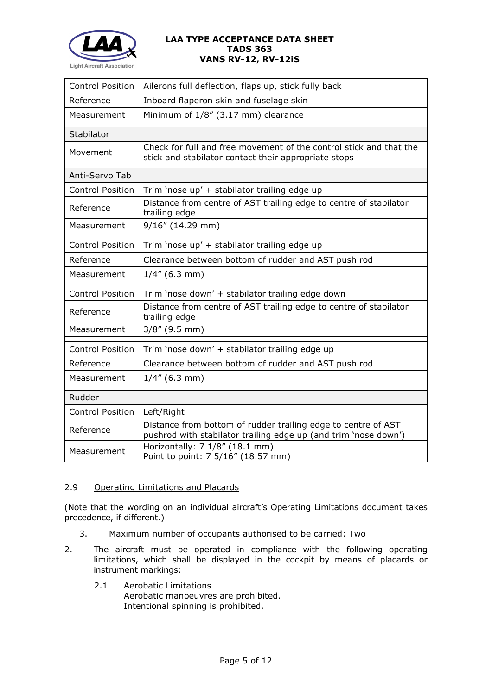

| Ailerons full deflection, flaps up, stick fully back                                                                             |
|----------------------------------------------------------------------------------------------------------------------------------|
| Inboard flaperon skin and fuselage skin                                                                                          |
| Minimum of 1/8" (3.17 mm) clearance                                                                                              |
|                                                                                                                                  |
| Check for full and free movement of the control stick and that the<br>stick and stabilator contact their appropriate stops       |
|                                                                                                                                  |
| Trim 'nose up' + stabilator trailing edge up                                                                                     |
| Distance from centre of AST trailing edge to centre of stabilator<br>trailing edge                                               |
| 9/16" (14.29 mm)                                                                                                                 |
| Trim 'nose up' + stabilator trailing edge up                                                                                     |
| Clearance between bottom of rudder and AST push rod                                                                              |
| $1/4$ " (6.3 mm)                                                                                                                 |
| Trim 'nose down' + stabilator trailing edge down                                                                                 |
| Distance from centre of AST trailing edge to centre of stabilator<br>trailing edge                                               |
| $3/8''$ (9.5 mm)                                                                                                                 |
| Trim 'nose down' + stabilator trailing edge up                                                                                   |
| Clearance between bottom of rudder and AST push rod                                                                              |
| $1/4$ " (6.3 mm)                                                                                                                 |
|                                                                                                                                  |
| Left/Right                                                                                                                       |
| Distance from bottom of rudder trailing edge to centre of AST<br>pushrod with stabilator trailing edge up (and trim 'nose down') |
| Horizontally: 7 1/8" (18.1 mm)<br>Point to point: 7 5/16" (18.57 mm)                                                             |
|                                                                                                                                  |

# 2.9 Operating Limitations and Placards

(Note that the wording on an individual aircraft's Operating Limitations document takes precedence, if different.)

- 3. Maximum number of occupants authorised to be carried: Two
- 2. The aircraft must be operated in compliance with the following operating limitations, which shall be displayed in the cockpit by means of placards or instrument markings:
	- 2.1 Aerobatic Limitations Aerobatic manoeuvres are prohibited. Intentional spinning is prohibited.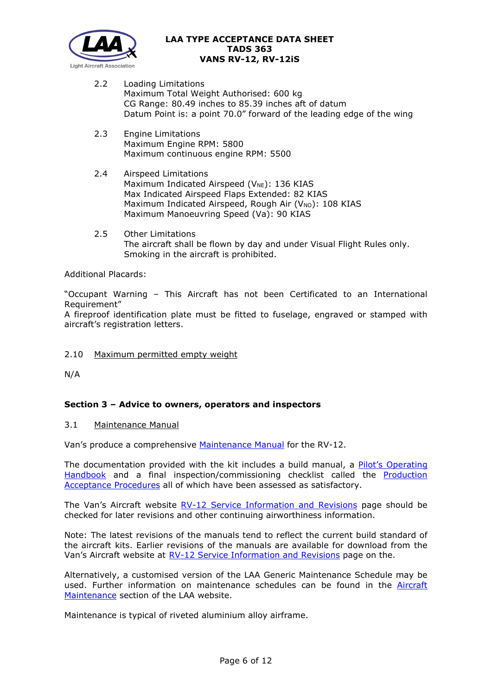

- 2.2 Loading Limitations Maximum Total Weight Authorised: 600 kg CG Range: 80.49 inches to 85.39 inches aft of datum Datum Point is: a point 70.0" forward of the leading edge of the wing
- 2.3 Engine Limitations Maximum Engine RPM: 5800 Maximum continuous engine RPM: 5500
- 2.4 Airspeed Limitations Maximum Indicated Airspeed ( $V_{NE}$ ): 136 KIAS Max Indicated Airspeed Flaps Extended: 82 KIAS Maximum Indicated Airspeed, Rough Air (VNO): 108 KIAS Maximum Manoeuvring Speed (Va): 90 KIAS
- 2.5 Other Limitations The aircraft shall be flown by day and under Visual Flight Rules only. Smoking in the aircraft is prohibited.

Additional Placards:

"Occupant Warning – This Aircraft has not been Certificated to an International Requirement"

A fireproof identification plate must be fitted to fuselage, engraved or stamped with aircraft's registration letters.

### 2.10 Maximum permitted empty weight

N/A

# **Section 3 – Advice to owners, operators and inspectors**

### 3.1 Maintenance Manual

Van's produce a comprehensive [Maintenance Manual](http://www.lightaircraftassociation.co.uk/engineering/TADs/363/RV-12-MM%2029.09.19.pdf) for the RV-12.

The documentation provided with the kit includes a build manual, a Pilot's Operating [Handbook](http://www.lightaircraftassociation.co.uk/engineering/TADs/363/RV-12-POH%2028.03.19.pdf) and a final inspection/commissioning checklist called the [Production](http://www.lightaircraftassociation.co.uk/engineering/TADs/363/RV-12-PAP%2018.12.18.pdf)  [Acceptance Procedures](http://www.lightaircraftassociation.co.uk/engineering/TADs/363/RV-12-PAP%2018.12.18.pdf) all of which have been assessed as satisfactory.

The Van's Aircraft website [RV-12 Service Information and Revisions](https://www.vansaircraft.com/service-information-and-revisions/?aircraft=rv-12&doctype=all) page should be checked for later revisions and other continuing airworthiness information.

Note: The latest revisions of the manuals tend to reflect the current build standard of the aircraft kits. Earlier revisions of the manuals are available for download from the Van's Aircraft website at [RV-12 Service Information and Revisions](https://www.vansaircraft.com/service-information-and-revisions/?aircraft=rv-12&doctype=all) page on the.

Alternatively, a customised version of the LAA Generic Maintenance Schedule may be used. Further information on maintenance schedules can be found in the **[Aircraft](http://www.lightaircraftassociation.co.uk/engineering/Maintenance/Aircraft_Maintenance.html)** [Maintenance](http://www.lightaircraftassociation.co.uk/engineering/Maintenance/Aircraft_Maintenance.html) section of the LAA website.

Maintenance is typical of riveted aluminium alloy airframe.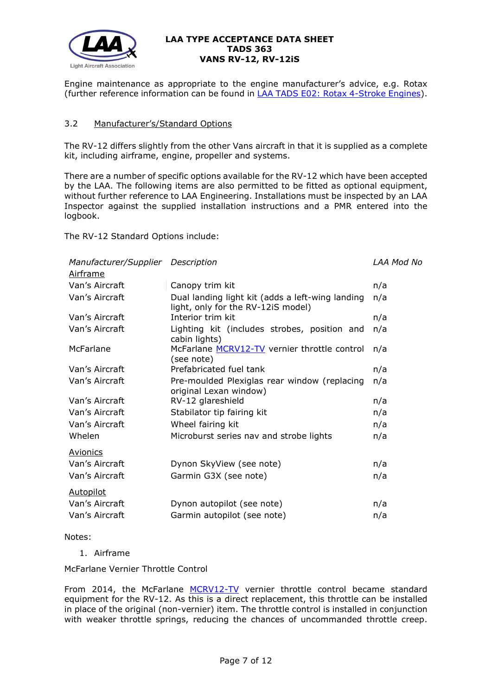

Engine maintenance as appropriate to the engine manufacturer's advice, e.g. Rotax (further reference information can be found in [LAA TADS E02: Rotax 4-Stroke Engines\)](http://www.lightaircraftassociation.co.uk/engineering/TADs/E02%20ROTAX%204-STROKE.pdf).

# 3.2 Manufacturer's/Standard Options

The RV-12 differs slightly from the other Vans aircraft in that it is supplied as a complete kit, including airframe, engine, propeller and systems.

There are a number of specific options available for the RV-12 which have been accepted by the LAA. The following items are also permitted to be fitted as optional equipment, without further reference to LAA Engineering. Installations must be inspected by an LAA Inspector against the supplied installation instructions and a PMR entered into the logbook.

The RV-12 Standard Options include:

|                  | Manufacturer/Supplier Description                                                      |     |
|------------------|----------------------------------------------------------------------------------------|-----|
| <b>Airframe</b>  |                                                                                        |     |
| Van's Aircraft   | Canopy trim kit                                                                        | n/a |
| Van's Aircraft   | Dual landing light kit (adds a left-wing landing<br>light, only for the RV-12iS model) | n/a |
| Van's Aircraft   | Interior trim kit                                                                      | n/a |
| Van's Aircraft   | Lighting kit (includes strobes, position and<br>cabin lights)                          | n/a |
| McFarlane        | McFarlane MCRV12-TV vernier throttle control<br>(see note)                             | n/a |
| Van's Aircraft   | Prefabricated fuel tank                                                                | n/a |
| Van's Aircraft   | Pre-moulded Plexiglas rear window (replacing<br>original Lexan window)                 | n/a |
| Van's Aircraft   | RV-12 glareshield                                                                      | n/a |
| Van's Aircraft   | Stabilator tip fairing kit                                                             | n/a |
| Van's Aircraft   | Wheel fairing kit                                                                      | n/a |
| Whelen           | Microburst series nav and strobe lights                                                | n/a |
| <b>Avionics</b>  |                                                                                        |     |
| Van's Aircraft   | Dynon SkyView (see note)                                                               | n/a |
| Van's Aircraft   | Garmin G3X (see note)                                                                  | n/a |
| <b>Autopilot</b> |                                                                                        |     |
| Van's Aircraft   | Dynon autopilot (see note)                                                             | n/a |
| Van's Aircraft   | Garmin autopilot (see note)                                                            | n/a |
|                  |                                                                                        |     |

Notes:

1. Airframe

McFarlane Vernier Throttle Control

From 2014, the McFarlane [MCRV12-TV](https://www.mcfarlaneaviation.com/products/product/MCRV12-TV/) vernier throttle control became standard equipment for the RV-12. As this is a direct replacement, this throttle can be installed in place of the original (non-vernier) item. The throttle control is installed in conjunction with weaker throttle springs, reducing the chances of uncommanded throttle creep.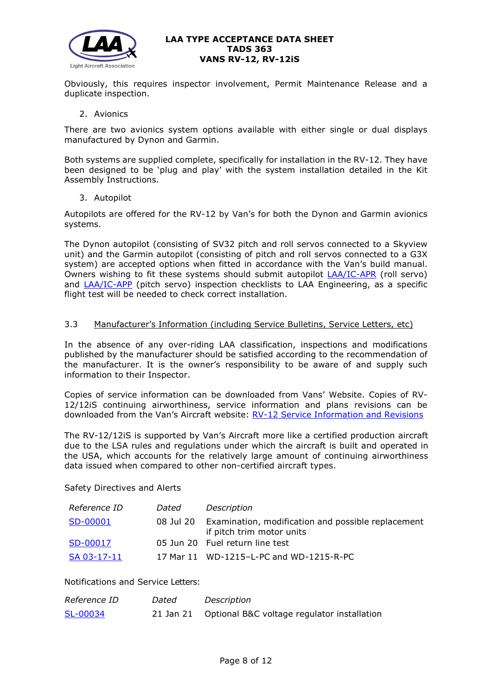

Obviously, this requires inspector involvement, Permit Maintenance Release and a duplicate inspection.

#### 2. Avionics

There are two avionics system options available with either single or dual displays manufactured by Dynon and Garmin.

Both systems are supplied complete, specifically for installation in the RV-12. They have been designed to be 'plug and play' with the system installation detailed in the Kit Assembly Instructions.

3. Autopilot

Autopilots are offered for the RV-12 by Van's for both the Dynon and Garmin avionics systems.

The Dynon autopilot (consisting of SV32 pitch and roll servos connected to a Skyview unit) and the Garmin autopilot (consisting of pitch and roll servos connected to a G3X system) are accepted options when fitted in accordance with the Van's build manual. Owners wishing to fit these systems should submit autopilot **[LAA/IC-APR](http://www.lightaircraftassociation.co.uk/engineering/StandardForms/LAA-IC-APR%20Auto-pilot%20(Roll)%20Inspection%20Checks.pdf)** (roll servo) and [LAA/IC-APP](http://www.lightaircraftassociation.co.uk/engineering/StandardForms/LAA-IC-APP%20Auto-pilot%20(Pitch)%20Inspection%20Checks.pdf) (pitch servo) inspection checklists to LAA Engineering, as a specific flight test will be needed to check correct installation.

### 3.3 Manufacturer's Information (including Service Bulletins, Service Letters, etc)

In the absence of any over-riding LAA classification, inspections and modifications published by the manufacturer should be satisfied according to the recommendation of the manufacturer. It is the owner's responsibility to be aware of and supply such information to their Inspector.

Copies of service information can be downloaded from Vans' Website. Copies of RV-12/12iS continuing airworthiness, service information and plans revisions can be downloaded from the Van's Aircraft website: [RV-12 Service Information and Revisions](https://www.vansaircraft.com/service-information-and-revisions/?aircraft=rv-12&doctype=all)

The RV-12/12iS is supported by Van's Aircraft more like a certified production aircraft due to the LSA rules and regulations under which the aircraft is built and operated in the USA, which accounts for the relatively large amount of continuing airworthiness data issued when compared to other non-certified aircraft types.

Safety Directives and Alerts

| Reference ID | Dated     | Description                                                                     |
|--------------|-----------|---------------------------------------------------------------------------------|
| SD-00001     | 08 Jul 20 | Examination, modification and possible replacement<br>if pitch trim motor units |
| SD-00017     |           | 05 Jun 20 Fuel return line test                                                 |
| SA 03-17-11  |           | 17 Mar 11 WD-1215-L-PC and WD-1215-R-PC                                         |

# Notifications and Service Letters:

| Reference ID | Dated | Description                                           |
|--------------|-------|-------------------------------------------------------|
| SL-00034     |       | 21 Jan 21 Optional B&C voltage regulator installation |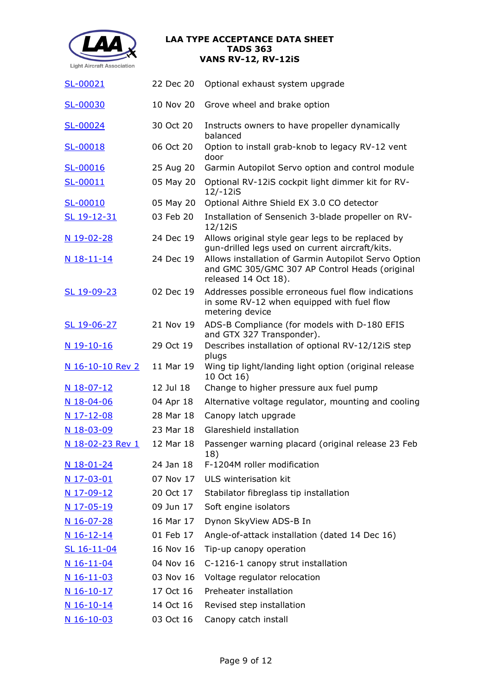

| SL-00021                          | 22 Dec 20 | Optional exhaust system upgrade                                                                                                |
|-----------------------------------|-----------|--------------------------------------------------------------------------------------------------------------------------------|
| SL-00030                          | 10 Nov 20 | Grove wheel and brake option                                                                                                   |
| SL-00024                          | 30 Oct 20 | Instructs owners to have propeller dynamically<br>balanced                                                                     |
| SL-00018                          | 06 Oct 20 | Option to install grab-knob to legacy RV-12 vent<br>door                                                                       |
| SL-00016                          | 25 Aug 20 | Garmin Autopilot Servo option and control module                                                                               |
| SL-00011                          | 05 May 20 | Optional RV-12iS cockpit light dimmer kit for RV-<br>12/-12iS                                                                  |
| SL-00010                          | 05 May 20 | Optional Aithre Shield EX 3.0 CO detector                                                                                      |
| SL 19-12-31                       | 03 Feb 20 | Installation of Sensenich 3-blade propeller on RV-<br>12/12iS                                                                  |
| N 19-02-28                        | 24 Dec 19 | Allows original style gear legs to be replaced by<br>gun-drilled legs used on current aircraft/kits.                           |
| N 18-11-14                        | 24 Dec 19 | Allows installation of Garmin Autopilot Servo Option<br>and GMC 305/GMC 307 AP Control Heads (original<br>released 14 Oct 18). |
| SL 19-09-23                       | 02 Dec 19 | Addresses possible erroneous fuel flow indications<br>in some RV-12 when equipped with fuel flow<br>metering device            |
| SL 19-06-27                       | 21 Nov 19 | ADS-B Compliance (for models with D-180 EFIS<br>and GTX 327 Transponder).                                                      |
| N 19-10-16                        | 29 Oct 19 | Describes installation of optional RV-12/12iS step<br>plugs                                                                    |
| <u>N 16-10-10 Rev 2</u>           | 11 Mar 19 | Wing tip light/landing light option (original release<br>10 Oct 16)                                                            |
| N 18-07-12                        | 12 Jul 18 | Change to higher pressure aux fuel pump                                                                                        |
| N 18-04-06                        | 04 Apr 18 | Alternative voltage regulator, mounting and cooling                                                                            |
| N 17-12-08                        | 28 Mar 18 | Canopy latch upgrade                                                                                                           |
| N 18-03-09                        | 23 Mar 18 | Glareshield installation                                                                                                       |
| <u>N 18-02-23 Rev 1</u> 12 Mar 18 |           | Passenger warning placard (original release 23 Feb<br>18)                                                                      |
| <u>N 18-01-24</u>                 | 24 Jan 18 | F-1204M roller modification                                                                                                    |
| N 17-03-01                        |           | 07 Nov 17 ULS winterisation kit                                                                                                |
| <u>N 17-09-12</u>                 |           | 20 Oct 17 Stabilator fibreglass tip installation                                                                               |
| <u>N 17-05-19</u>                 | 09 Jun 17 | Soft engine isolators                                                                                                          |
| N 16-07-28                        | 16 Mar 17 | Dynon SkyView ADS-B In                                                                                                         |
| <u>N 16-12-14</u>                 | 01 Feb 17 | Angle-of-attack installation (dated 14 Dec 16)                                                                                 |
| SL 16-11-04                       | 16 Nov 16 | Tip-up canopy operation                                                                                                        |
| <u>N 16-11-04</u>                 | 04 Nov 16 | C-1216-1 canopy strut installation                                                                                             |
| <u>N 16-11-03</u>                 | 03 Nov 16 | Voltage regulator relocation                                                                                                   |
| <u>N 16-10-17</u>                 | 17 Oct 16 | Preheater installation                                                                                                         |
| N 16-10-14                        | 14 Oct 16 | Revised step installation                                                                                                      |
| N 16-10-03                        | 03 Oct 16 | Canopy catch install                                                                                                           |
|                                   |           |                                                                                                                                |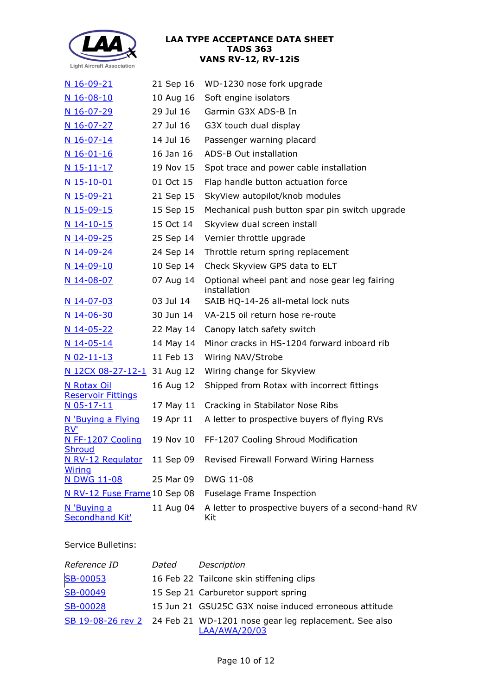

| $N$ 16-09-21                                 | 21 Sep 16 | WD-1230 nose fork upgrade                                     |
|----------------------------------------------|-----------|---------------------------------------------------------------|
| $N$ 16-08-10                                 | 10 Aug 16 | Soft engine isolators                                         |
| <u>N 16-07-29</u>                            | 29 Jul 16 | Garmin G3X ADS-B In                                           |
| $N$ 16-07-27                                 | 27 Jul 16 | G3X touch dual display                                        |
| $N$ 16-07-14                                 | 14 Jul 16 | Passenger warning placard                                     |
| N 16-01-16                                   | 16 Jan 16 | ADS-B Out installation                                        |
| <u>N 15-11-17</u>                            | 19 Nov 15 | Spot trace and power cable installation                       |
| $N$ 15-10-01                                 | 01 Oct 15 | Flap handle button actuation force                            |
| N 15-09-21                                   | 21 Sep 15 | SkyView autopilot/knob modules                                |
| N 15-09-15                                   | 15 Sep 15 | Mechanical push button spar pin switch upgrade                |
| $N$ 14-10-15                                 | 15 Oct 14 | Skyview dual screen install                                   |
| <u>N 14-09-25</u>                            | 25 Sep 14 | Vernier throttle upgrade                                      |
| $N$ 14-09-24                                 | 24 Sep 14 | Throttle return spring replacement                            |
| $N$ 14-09-10                                 | 10 Sep 14 | Check Skyview GPS data to ELT                                 |
| N 14-08-07                                   | 07 Aug 14 | Optional wheel pant and nose gear leg fairing<br>installation |
| $N$ 14-07-03                                 | 03 Jul 14 | SAIB HQ-14-26 all-metal lock nuts                             |
| <u>N 14-06-30</u>                            | 30 Jun 14 | VA-215 oil return hose re-route                               |
| <u>N 14-05-22</u>                            | 22 May 14 | Canopy latch safety switch                                    |
| <u>N 14-05-14</u>                            | 14 May 14 | Minor cracks in HS-1204 forward inboard rib                   |
| $N$ 02-11-13                                 | 11 Feb 13 | Wiring NAV/Strobe                                             |
| N 12CX 08-27-12-1 31 Aug 12                  |           | Wiring change for Skyview                                     |
| N Rotax Oil                                  | 16 Aug 12 | Shipped from Rotax with incorrect fittings                    |
| <b>Reservoir Fittings</b><br>N 05-17-11      | 17 May 11 | Cracking in Stabilator Nose Ribs                              |
| N 'Buying a Flying                           | 19 Apr 11 | A letter to prospective buyers of flying RVs                  |
| RV'                                          |           |                                                               |
| N FF-1207 Cooling                            | 19 Nov 10 | FF-1207 Cooling Shroud Modification                           |
| Shroud<br>N RV-12 Regulator<br><b>Wiring</b> | 11 Sep 09 | Revised Firewall Forward Wiring Harness                       |
| <b>N DWG 11-08</b>                           | 25 Mar 09 | DWG 11-08                                                     |
| N RV-12 Fuse Frame 10 Sep 08                 |           | <b>Fuselage Frame Inspection</b>                              |
| N 'Buying a<br>Secondhand Kit'               | 11 Aug 04 | A letter to prospective buyers of a second-hand RV<br>Kit     |

Service Bulletins:

| Reference ID    | Dated | Description                                                                              |
|-----------------|-------|------------------------------------------------------------------------------------------|
| <b>SB-00053</b> |       | 16 Feb 22 Tailcone skin stiffening clips                                                 |
| SB-00049        |       | 15 Sep 21 Carburetor support spring                                                      |
| SB-00028        |       | 15 Jun 21 GSU25C G3X noise induced erroneous attitude                                    |
|                 |       | SB 19-08-26 rev 2 24 Feb 21 WD-1201 nose gear leg replacement. See also<br>LAA/AWA/20/03 |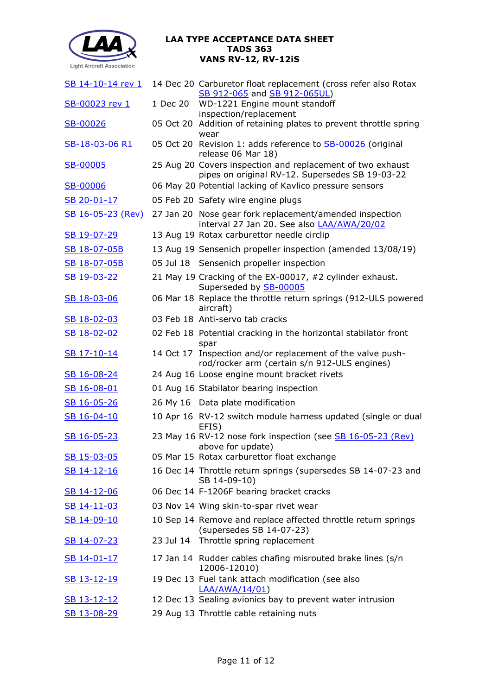

| SB 14-10-14 rev 1        |          | 14 Dec 20 Carburetor float replacement (cross refer also Rotax<br>SB 912-065 and SB 912-065UL)                |
|--------------------------|----------|---------------------------------------------------------------------------------------------------------------|
| SB-00023 rev 1           | 1 Dec 20 | WD-1221 Engine mount standoff                                                                                 |
|                          |          | inspection/replacement                                                                                        |
| SB-00026                 |          | 05 Oct 20 Addition of retaining plates to prevent throttle spring<br>wear                                     |
| SB-18-03-06 R1           |          | 05 Oct 20 Revision 1: adds reference to <b>SB-00026</b> (original<br>release 06 Mar 18)                       |
| SB-00005                 |          | 25 Aug 20 Covers inspection and replacement of two exhaust<br>pipes on original RV-12. Supersedes SB 19-03-22 |
| SB-00006                 |          | 06 May 20 Potential lacking of Kavlico pressure sensors                                                       |
| SB 20-01-17              |          | 05 Feb 20 Safety wire engine plugs                                                                            |
| <u>SB 16-05-23 (Rev)</u> |          | 27 Jan 20 Nose gear fork replacement/amended inspection<br>interval 27 Jan 20. See also <b>LAA/AWA/20/02</b>  |
| SB 19-07-29              |          | 13 Aug 19 Rotax carburettor needle circlip                                                                    |
| SB 18-07-05B             |          | 13 Aug 19 Sensenich propeller inspection (amended 13/08/19)                                                   |
| SB 18-07-05B             |          | 05 Jul 18 Sensenich propeller inspection                                                                      |
| SB 19-03-22              |          | 21 May 19 Cracking of the EX-00017, #2 cylinder exhaust.<br>Superseded by SB-00005                            |
| SB 18-03-06              |          | 06 Mar 18 Replace the throttle return springs (912-ULS powered<br>aircraft)                                   |
| SB 18-02-03              |          | 03 Feb 18 Anti-servo tab cracks                                                                               |
| SB 18-02-02              |          | 02 Feb 18 Potential cracking in the horizontal stabilator front<br>spar                                       |
| SB 17-10-14              |          | 14 Oct 17 Inspection and/or replacement of the valve push-<br>rod/rocker arm (certain s/n 912-ULS engines)    |
| SB 16-08-24              |          | 24 Aug 16 Loose engine mount bracket rivets                                                                   |
| SB 16-08-01              |          | 01 Aug 16 Stabilator bearing inspection                                                                       |
| SB 16-05-26              |          | 26 My 16 Data plate modification                                                                              |
| SB 16-04-10              |          | 10 Apr 16 RV-12 switch module harness updated (single or dual<br>EFIS)                                        |
| SB 16-05-23              |          | 23 May 16 RV-12 nose fork inspection (see SB 16-05-23 (Rev)<br>above for update)                              |
| SB 15-03-05              |          | 05 Mar 15 Rotax carburettor float exchange                                                                    |
| SB 14-12-16              |          | 16 Dec 14 Throttle return springs (supersedes SB 14-07-23 and<br>SB 14-09-10)                                 |
| SB 14-12-06              |          | 06 Dec 14 F-1206F bearing bracket cracks                                                                      |
| SB 14-11-03              |          | 03 Nov 14 Wing skin-to-spar rivet wear                                                                        |
| SB 14-09-10              |          | 10 Sep 14 Remove and replace affected throttle return springs<br>(supersedes SB 14-07-23)                     |
| SB 14-07-23              |          | 23 Jul 14 Throttle spring replacement                                                                         |
| SB 14-01-17              |          | 17 Jan 14 Rudder cables chafing misrouted brake lines (s/n<br>12006-12010)                                    |
| SB 13-12-19              |          | 19 Dec 13 Fuel tank attach modification (see also<br><u>LAA/AWA/14/01)</u>                                    |
| <u>SB 13-12-12</u>       |          | 12 Dec 13 Sealing avionics bay to prevent water intrusion                                                     |
| SB 13-08-29              |          | 29 Aug 13 Throttle cable retaining nuts                                                                       |